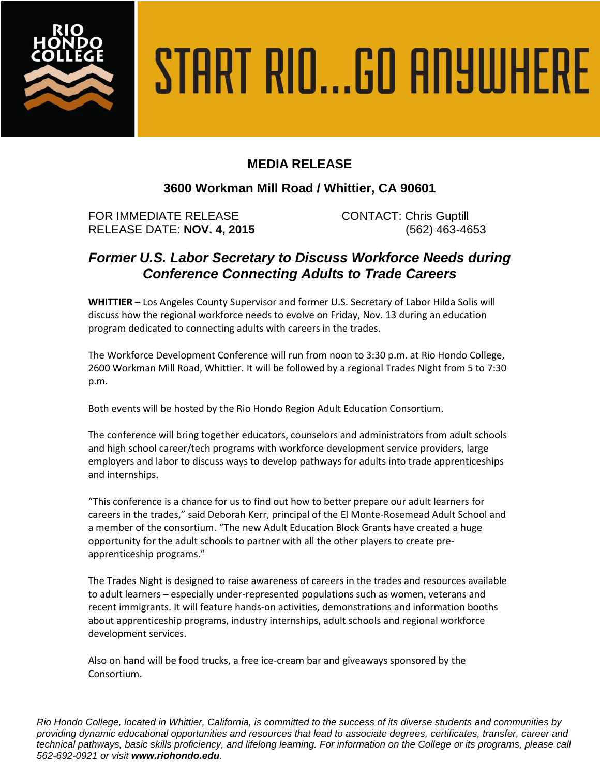

# START RIO...GO ANYWHERE

# **MEDIA RELEASE**

### **3600 Workman Mill Road / Whittier, CA 90601**

FOR IMMEDIATE RELEASE CONTACT: Chris Guptill RELEASE DATE: **NOV. 4, 2015** (562) 463-4653

## *Former U.S. Labor Secretary to Discuss Workforce Needs during Conference Connecting Adults to Trade Careers*

**WHITTIER** – Los Angeles County Supervisor and former U.S. Secretary of Labor Hilda Solis will discuss how the regional workforce needs to evolve on Friday, Nov. 13 during an education program dedicated to connecting adults with careers in the trades.

The Workforce Development Conference will run from noon to 3:30 p.m. at Rio Hondo College, 2600 Workman Mill Road, Whittier. It will be followed by a regional Trades Night from 5 to 7:30 p.m.

Both events will be hosted by the Rio Hondo Region Adult Education Consortium.

The conference will bring together educators, counselors and administrators from adult schools and high school career/tech programs with workforce development service providers, large employers and labor to discuss ways to develop pathways for adults into trade apprenticeships and internships.

"This conference is a chance for us to find out how to better prepare our adult learners for careers in the trades," said Deborah Kerr, principal of the El Monte-Rosemead Adult School and a member of the consortium. "The new Adult Education Block Grants have created a huge opportunity for the adult schools to partner with all the other players to create preapprenticeship programs."

The Trades Night is designed to raise awareness of careers in the trades and resources available to adult learners – especially under-represented populations such as women, veterans and recent immigrants. It will feature hands-on activities, demonstrations and information booths about apprenticeship programs, industry internships, adult schools and regional workforce development services.

Also on hand will be food trucks, a free ice-cream bar and giveaways sponsored by the Consortium.

*Rio Hondo College, located in Whittier, California, is committed to the success of its diverse students and communities by providing dynamic educational opportunities and resources that lead to associate degrees, certificates, transfer, career and technical pathways, basic skills proficiency, and lifelong learning. For information on the College or its programs, please call 562-692-0921 or visit www.riohondo.edu.*